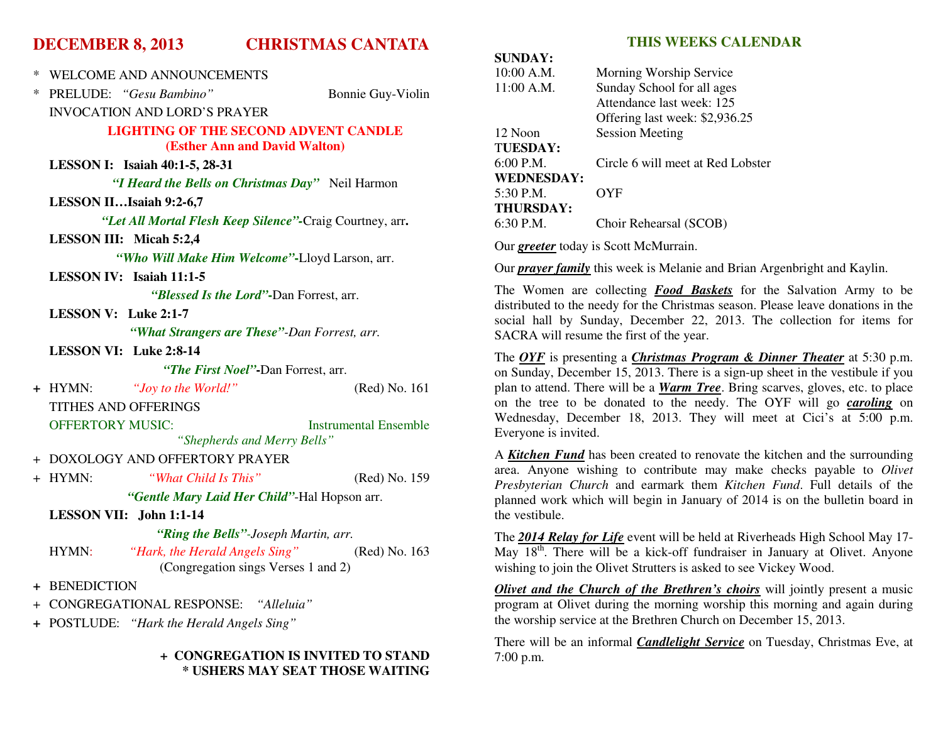## **DECEMBER 8, 2013 CHRISTMAS CANTATA**

| ∗                                    | WELCOME AND ANNOUNCEMENTS                                |  |  |
|--------------------------------------|----------------------------------------------------------|--|--|
| ∗                                    | PRELUDE: "Gesu Bambino"<br>Bonnie Guy-Violin             |  |  |
|                                      | <b>INVOCATION AND LORD'S PRAYER</b>                      |  |  |
|                                      | <b>LIGHTING OF THE SECOND ADVENT CANDLE</b>              |  |  |
|                                      | <b>(Esther Ann and David Walton)</b>                     |  |  |
|                                      | LESSON I: Isaiah 40:1-5, 28-31                           |  |  |
|                                      | "I Heard the Bells on Christmas Day" Neil Harmon         |  |  |
|                                      | LESSON IIIsaiah 9:2-6,7                                  |  |  |
|                                      | "Let All Mortal Flesh Keep Silence"-Craig Courtney, arr. |  |  |
|                                      | LESSON III: Micah 5:2,4                                  |  |  |
|                                      | "Who Will Make Him Welcome"-Lloyd Larson, arr.           |  |  |
|                                      | <b>LESSON IV:</b> Isaiah $11:1-5$                        |  |  |
|                                      | "Blessed Is the Lord"-Dan Forrest, arr.                  |  |  |
|                                      | LESSON V: Luke 2:1-7                                     |  |  |
|                                      | "What Strangers are These"-Dan Forrest, arr.             |  |  |
|                                      | LESSON VI: Luke 2:8-14                                   |  |  |
| "The First Noel"-Dan Forrest, arr.   |                                                          |  |  |
|                                      | "Joy to the World!"<br>(Red) No. 161<br>+ HYMN:          |  |  |
|                                      | <b>TITHES AND OFFERINGS</b>                              |  |  |
|                                      | <b>OFFERTORY MUSIC:</b><br><b>Instrumental Ensemble</b>  |  |  |
|                                      | "Shepherds and Merry Bells"                              |  |  |
|                                      | + DOXOLOGY AND OFFERTORY PRAYER                          |  |  |
|                                      | + HYMN:<br>"What Child Is This"<br>(Red) No. 159         |  |  |
|                                      | "Gentle Mary Laid Her Child"-Hal Hopson arr.             |  |  |
|                                      | LESSON VII: John 1:1-14                                  |  |  |
| "Ring the Bells"-Joseph Martin, arr. |                                                          |  |  |
|                                      | "Hark, the Herald Angels Sing"<br>HYMN:<br>(Red) No. 163 |  |  |
|                                      | (Congregation sings Verses 1 and 2)                      |  |  |
|                                      | + BENEDICTION                                            |  |  |
|                                      | + CONGREGATIONAL RESPONSE: "Alleluia"                    |  |  |

**+** POSTLUDE: *"Hark the Herald Angels Sing"* 

#### **+ CONGREGATION IS INVITED TO STAND \* USHERS MAY SEAT THOSE WAITING**

## **THIS WEEKS CALENDAR**

| SUNDAT:           |                                   |
|-------------------|-----------------------------------|
| 10:00 A.M.        | Morning Worship Service           |
| 11:00 A.M.        | Sunday School for all ages        |
|                   | Attendance last week: 125         |
|                   | Offering last week: \$2,936.25    |
| 12 Noon           | <b>Session Meeting</b>            |
| TUESDAY:          |                                   |
| $6:00$ P.M.       | Circle 6 will meet at Red Lobster |
| <b>WEDNESDAY:</b> |                                   |
| $5:30$ P.M.       | OYF                               |
| <b>THURSDAY:</b>  |                                   |
| $6:30$ P.M.       | Choir Rehearsal (SCOB)            |
|                   |                                   |

Our *greeter* today is Scott McMurrain.

 $\overline{\text{CUMINAIV}}$ 

Our *prayer family* this week is Melanie and Brian Argenbright and Kaylin.

The Women are collecting *Food Baskets* for the Salvation Army to be distributed to the needy for the Christmas season. Please leave donations in the social hall by Sunday, December 22, 2013. The collection for items for SACRA will resume the first of the year.

The *OYF* is presenting a *Christmas Program & Dinner Theater* at 5:30 p.m. on Sunday, December 15, 2013. There is a sign-up sheet in the vestibule if you plan to attend. There will be a *Warm Tree*. Bring scarves, gloves, etc. to place on the tree to be donated to the needy. The OYF will go *caroling* on Wednesday, December 18, 2013. They will meet at Cici's at 5:00 p.m. Everyone is invited.

A *Kitchen Fund* has been created to renovate the kitchen and the surrounding area. Anyone wishing to contribute may make checks payable to *Olivet Presbyterian Church* and earmark them *Kitchen Fund*. Full details of the planned work which will begin in January of 2014 is on the bulletin board in the vestibule.

The *2014 Relay for Life* event will be held at Riverheads High School May 17-May  $18<sup>th</sup>$ . There will be a kick-off fundraiser in January at Olivet. Anyone wishing to join the Olivet Strutters is asked to see Vickey Wood.

*Olivet and the Church of the Brethren's choirs* will jointly present a music program at Olivet during the morning worship this morning and again during the worship service at the Brethren Church on December 15, 2013.

There will be an informal *Candlelight Service* on Tuesday, Christmas Eve, at 7:00 p.m.